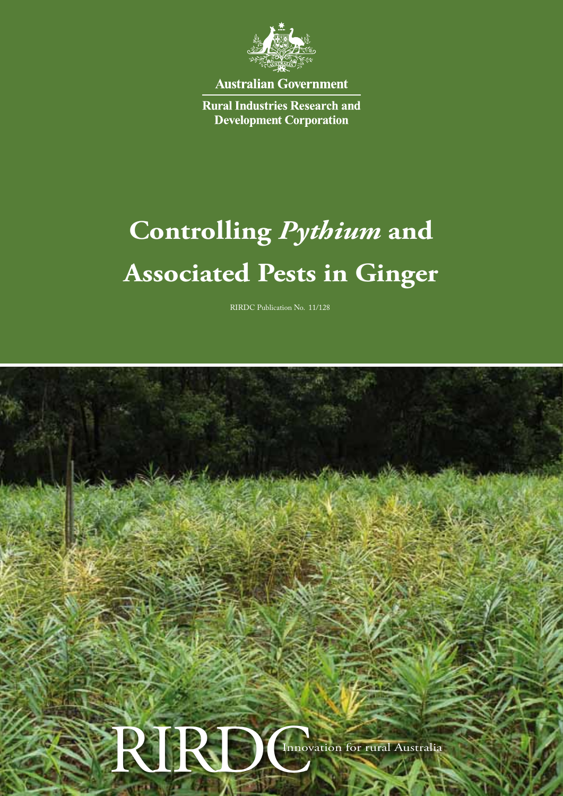

**Australian Government** 

**Rural Industries Research and Development Corporation** 

# **Controlling** *Pythium* **and Associated Pests in Ginger**

RIRDC Publication No. 11/128

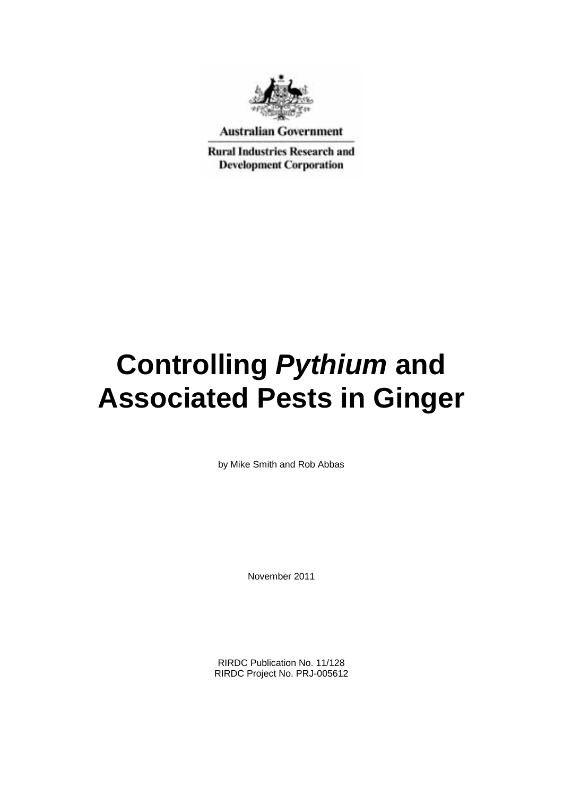

**Australian Government** 

**Rural Industries Research and Development Corporation** 

# **Controlling** *Pythium* **and Associated Pests in Ginger**

by Mike Smith and Rob Abbas

November 2011

RIRDC Publication No. 11/128 RIRDC Project No. PRJ-005612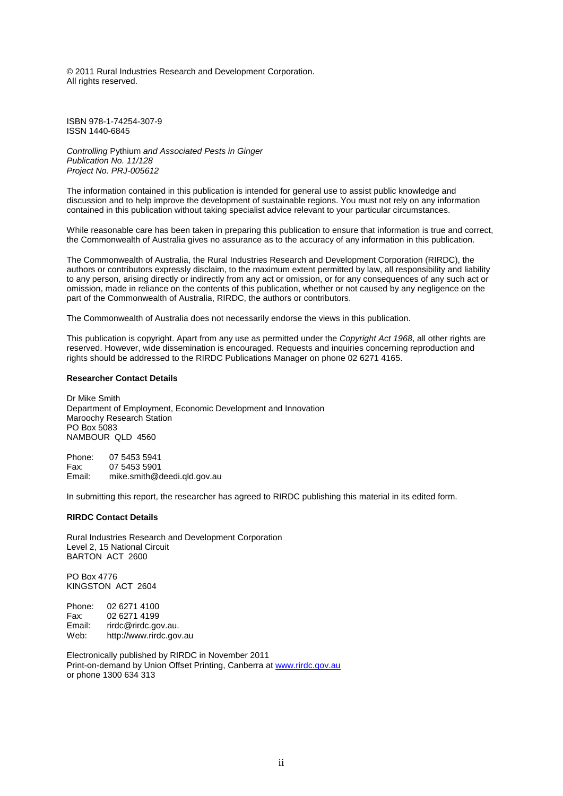© 2011 Rural Industries Research and Development Corporation. All rights reserved.

ISBN 978-1-74254-307-9 ISSN 1440-6845

*Controlling* Pythium *and Associated Pests in Ginger Publication No. 11/128 Project No. PRJ-005612*

The information contained in this publication is intended for general use to assist public knowledge and discussion and to help improve the development of sustainable regions. You must not rely on any information contained in this publication without taking specialist advice relevant to your particular circumstances.

While reasonable care has been taken in preparing this publication to ensure that information is true and correct, the Commonwealth of Australia gives no assurance as to the accuracy of any information in this publication.

The Commonwealth of Australia, the Rural Industries Research and Development Corporation (RIRDC), the authors or contributors expressly disclaim, to the maximum extent permitted by law, all responsibility and liability to any person, arising directly or indirectly from any act or omission, or for any consequences of any such act or omission, made in reliance on the contents of this publication, whether or not caused by any negligence on the part of the Commonwealth of Australia, RIRDC, the authors or contributors.

The Commonwealth of Australia does not necessarily endorse the views in this publication.

This publication is copyright. Apart from any use as permitted under the *Copyright Act 1968*, all other rights are reserved. However, wide dissemination is encouraged. Requests and inquiries concerning reproduction and rights should be addressed to the RIRDC Publications Manager on phone 02 6271 4165.

#### **Researcher Contact Details**

Dr Mike Smith Department of Employment, Economic Development and Innovation Maroochy Research Station PO Box 5083 NAMBOUR QLD 4560

Phone: 07 5453 5941 Fax: 07 5453 5901 Email: mike.smith@deedi.qld.gov.au

In submitting this report, the researcher has agreed to RIRDC publishing this material in its edited form.

#### **RIRDC Contact Details**

Rural Industries Research and Development Corporation Level 2, 15 National Circuit BARTON ACT 2600

PO Box 4776 KINGSTON ACT 2604

Phone: 02 6271 4100<br>Fax: 02 6271 4199 Fax: 02 6271 4199<br>Email: rirdc@rirdc.go Email: rirdc@rirdc.gov.au.<br>Web: http://www.rirdc.gov http://www.rirdc.gov.au

Electronically published by RIRDC in November 2011 Print-on-demand by Union Offset Printing, Canberra at www.rirdc.gov.au or phone 1300 634 313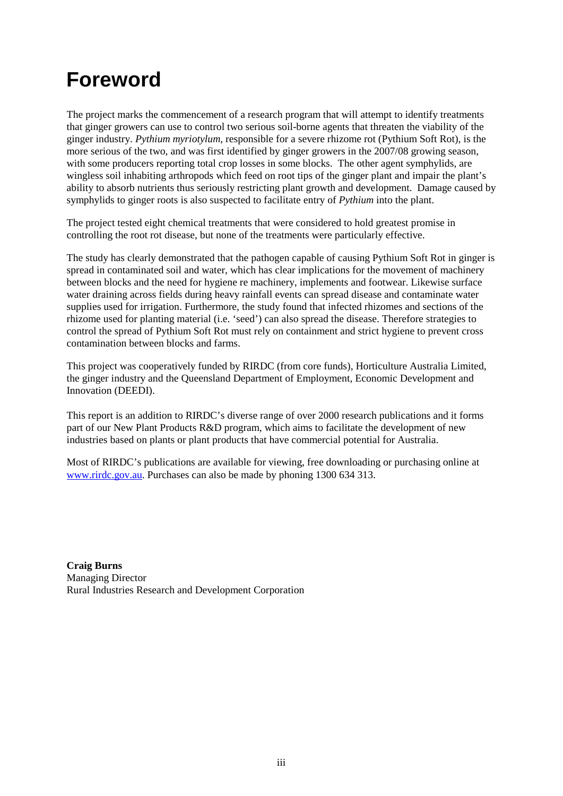## **Foreword**

The project marks the commencement of a research program that will attempt to identify treatments that ginger growers can use to control two serious soil-borne agents that threaten the viability of the ginger industry. *Pythium myriotylum*, responsible for a severe rhizome rot (Pythium Soft Rot), is the more serious of the two, and was first identified by ginger growers in the 2007/08 growing season, with some producers reporting total crop losses in some blocks. The other agent symphylids, are wingless soil inhabiting arthropods which feed on root tips of the ginger plant and impair the plant's ability to absorb nutrients thus seriously restricting plant growth and development. Damage caused by symphylids to ginger roots is also suspected to facilitate entry of *Pythium* into the plant.

The project tested eight chemical treatments that were considered to hold greatest promise in controlling the root rot disease, but none of the treatments were particularly effective.

The study has clearly demonstrated that the pathogen capable of causing Pythium Soft Rot in ginger is spread in contaminated soil and water, which has clear implications for the movement of machinery between blocks and the need for hygiene re machinery, implements and footwear. Likewise surface water draining across fields during heavy rainfall events can spread disease and contaminate water supplies used for irrigation. Furthermore, the study found that infected rhizomes and sections of the rhizome used for planting material (i.e. 'seed') can also spread the disease. Therefore strategies to control the spread of Pythium Soft Rot must rely on containment and strict hygiene to prevent cross contamination between blocks and farms.

This project was cooperatively funded by RIRDC (from core funds), Horticulture Australia Limited, the ginger industry and the Queensland Department of Employment, Economic Development and Innovation (DEEDI).

This report is an addition to RIRDC's diverse range of over 2000 research publications and it forms part of our New Plant Products R&D program, which aims to facilitate the development of new industries based on plants or plant products that have commercial potential for Australia.

Most of RIRDC's publications are available for viewing, free downloading or purchasing online at [www.rirdc.gov.au.](http://www.rirdc.gov.au/) Purchases can also be made by phoning 1300 634 313.

**Craig Burns** Managing Director Rural Industries Research and Development Corporation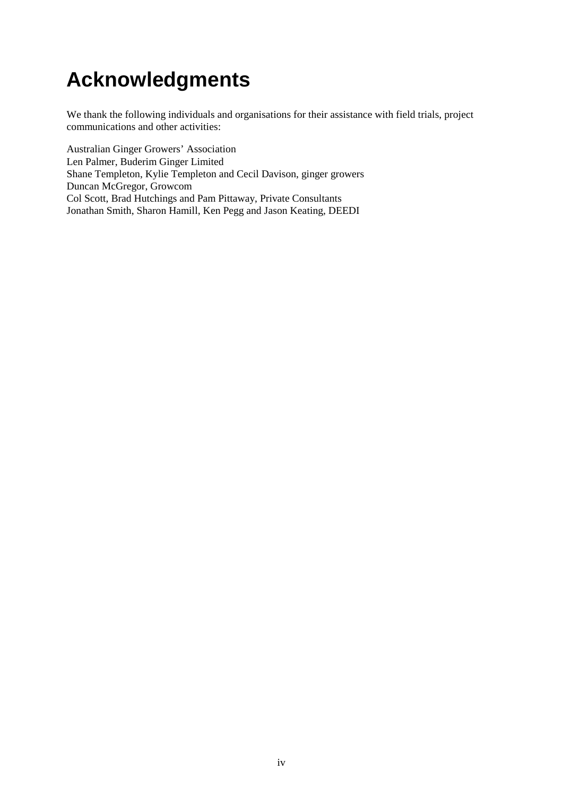# **Acknowledgments**

We thank the following individuals and organisations for their assistance with field trials, project communications and other activities:

Australian Ginger Growers' Association Len Palmer, Buderim Ginger Limited Shane Templeton, Kylie Templeton and Cecil Davison, ginger growers Duncan McGregor, Growcom Col Scott, Brad Hutchings and Pam Pittaway, Private Consultants Jonathan Smith, Sharon Hamill, Ken Pegg and Jason Keating, DEEDI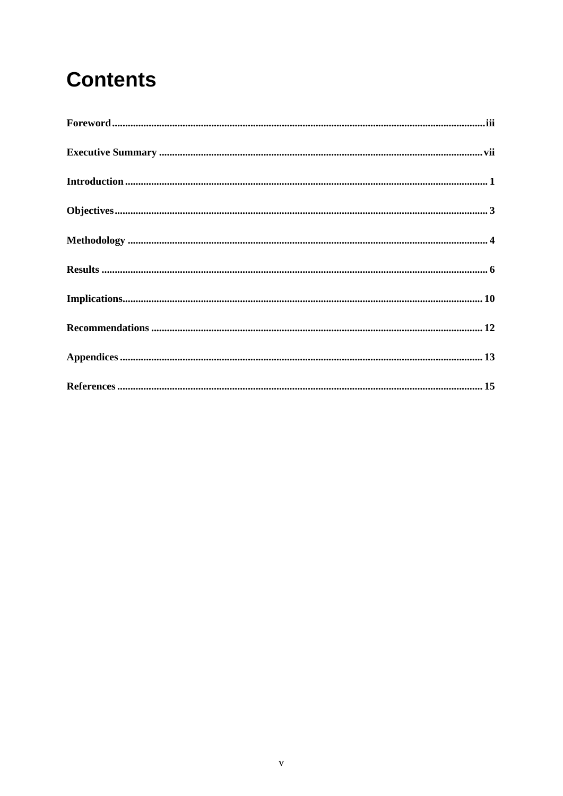# **Contents**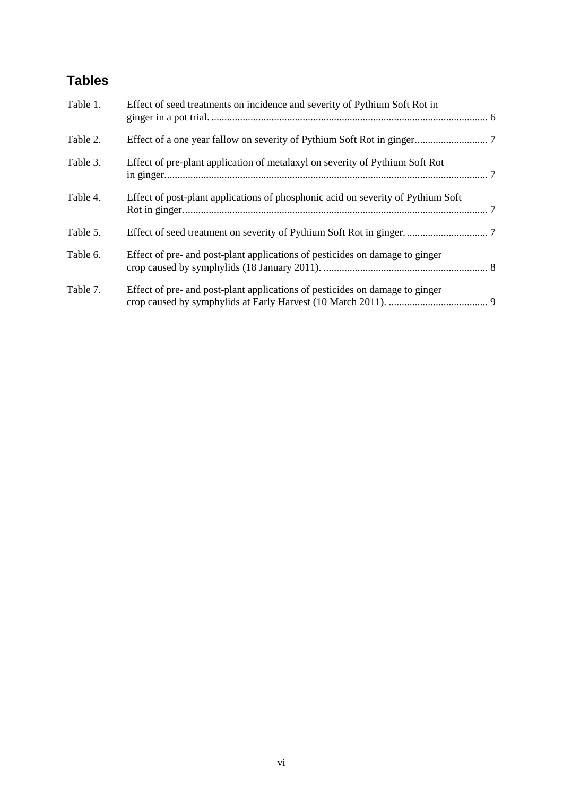### **Tables**

| Table 1. | Effect of seed treatments on incidence and severity of Pythium Soft Rot in       |  |
|----------|----------------------------------------------------------------------------------|--|
| Table 2. |                                                                                  |  |
| Table 3. | Effect of pre-plant application of metalaxyl on severity of Pythium Soft Rot     |  |
| Table 4. | Effect of post-plant applications of phosphonic acid on severity of Pythium Soft |  |
| Table 5. |                                                                                  |  |
| Table 6. | Effect of pre- and post-plant applications of pesticides on damage to ginger     |  |
| Table 7. | Effect of pre- and post-plant applications of pesticides on damage to ginger     |  |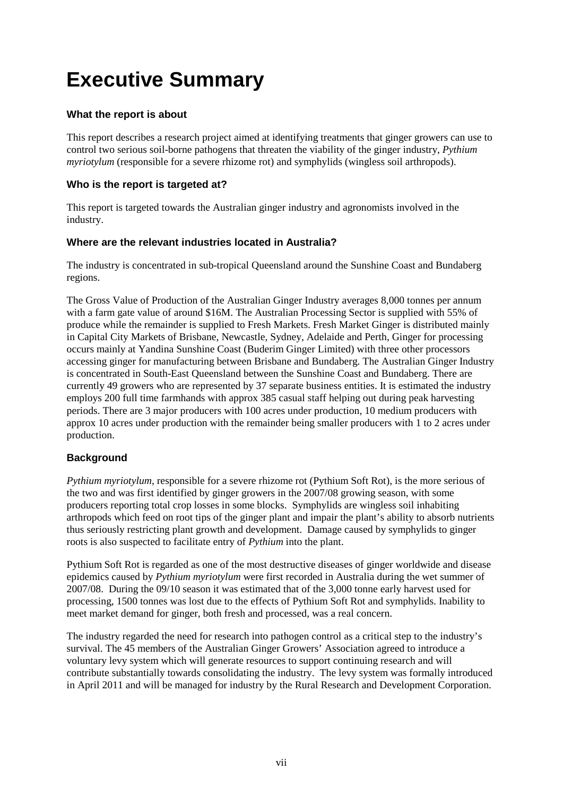# **Executive Summary**

#### **What the report is about**

This report describes a research project aimed at identifying treatments that ginger growers can use to control two serious soil-borne pathogens that threaten the viability of the ginger industry, *Pythium myriotylum* (responsible for a severe rhizome rot) and symphylids (wingless soil arthropods).

### **Who is the report is targeted at?**

This report is targeted towards the Australian ginger industry and agronomists involved in the industry.

#### **Where are the relevant industries located in Australia?**

The industry is concentrated in sub-tropical Queensland around the Sunshine Coast and Bundaberg regions.

The Gross Value of Production of the Australian Ginger Industry averages 8,000 tonnes per annum with a farm gate value of around \$16M. The Australian Processing Sector is supplied with 55% of produce while the remainder is supplied to Fresh Markets. Fresh Market Ginger is distributed mainly in Capital City Markets of Brisbane, Newcastle, Sydney, Adelaide and Perth, Ginger for processing occurs mainly at Yandina Sunshine Coast (Buderim Ginger Limited) with three other processors accessing ginger for manufacturing between Brisbane and Bundaberg. The Australian Ginger Industry is concentrated in South-East Queensland between the Sunshine Coast and Bundaberg. There are currently 49 growers who are represented by 37 separate business entities. It is estimated the industry employs 200 full time farmhands with approx 385 casual staff helping out during peak harvesting periods. There are 3 major producers with 100 acres under production, 10 medium producers with approx 10 acres under production with the remainder being smaller producers with 1 to 2 acres under production.

#### **Background**

*Pythium myriotylum*, responsible for a severe rhizome rot (Pythium Soft Rot), is the more serious of the two and was first identified by ginger growers in the 2007/08 growing season, with some producers reporting total crop losses in some blocks. Symphylids are wingless soil inhabiting arthropods which feed on root tips of the ginger plant and impair the plant's ability to absorb nutrients thus seriously restricting plant growth and development. Damage caused by symphylids to ginger roots is also suspected to facilitate entry of *Pythium* into the plant.

Pythium Soft Rot is regarded as one of the most destructive diseases of ginger worldwide and disease epidemics caused by *Pythium myriotylum* were first recorded in Australia during the wet summer of 2007/08. During the 09/10 season it was estimated that of the 3,000 tonne early harvest used for processing, 1500 tonnes was lost due to the effects of Pythium Soft Rot and symphylids. Inability to meet market demand for ginger, both fresh and processed, was a real concern.

The industry regarded the need for research into pathogen control as a critical step to the industry's survival. The 45 members of the Australian Ginger Growers' Association agreed to introduce a voluntary levy system which will generate resources to support continuing research and will contribute substantially towards consolidating the industry. The levy system was formally introduced in April 2011 and will be managed for industry by the Rural Research and Development Corporation.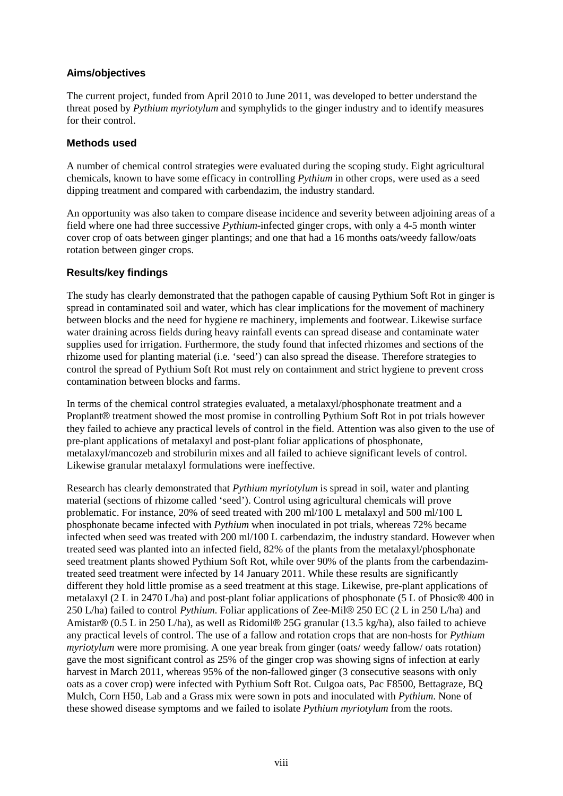#### **Aims/objectives**

The current project, funded from April 2010 to June 2011, was developed to better understand the threat posed by *Pythium myriotylum* and symphylids to the ginger industry and to identify measures for their control.

#### **Methods used**

A number of chemical control strategies were evaluated during the scoping study. Eight agricultural chemicals, known to have some efficacy in controlling *Pythium* in other crops, were used as a seed dipping treatment and compared with carbendazim, the industry standard.

An opportunity was also taken to compare disease incidence and severity between adjoining areas of a field where one had three successive *Pythium*-infected ginger crops, with only a 4-5 month winter cover crop of oats between ginger plantings; and one that had a 16 months oats/weedy fallow/oats rotation between ginger crops.

### **Results/key findings**

The study has clearly demonstrated that the pathogen capable of causing Pythium Soft Rot in ginger is spread in contaminated soil and water, which has clear implications for the movement of machinery between blocks and the need for hygiene re machinery, implements and footwear. Likewise surface water draining across fields during heavy rainfall events can spread disease and contaminate water supplies used for irrigation. Furthermore, the study found that infected rhizomes and sections of the rhizome used for planting material (i.e. 'seed') can also spread the disease. Therefore strategies to control the spread of Pythium Soft Rot must rely on containment and strict hygiene to prevent cross contamination between blocks and farms.

In terms of the chemical control strategies evaluated, a metalaxyl/phosphonate treatment and a Proplant® treatment showed the most promise in controlling Pythium Soft Rot in pot trials however they failed to achieve any practical levels of control in the field. Attention was also given to the use of pre-plant applications of metalaxyl and post-plant foliar applications of phosphonate, metalaxyl/mancozeb and strobilurin mixes and all failed to achieve significant levels of control. Likewise granular metalaxyl formulations were ineffective.

Research has clearly demonstrated that *Pythium myriotylum* is spread in soil, water and planting material (sections of rhizome called 'seed'). Control using agricultural chemicals will prove problematic. For instance, 20% of seed treated with 200 ml/100 L metalaxyl and 500 ml/100 L phosphonate became infected with *Pythium* when inoculated in pot trials, whereas 72% became infected when seed was treated with 200 ml/100 L carbendazim, the industry standard. However when treated seed was planted into an infected field, 82% of the plants from the metalaxyl/phosphonate seed treatment plants showed Pythium Soft Rot, while over 90% of the plants from the carbendazimtreated seed treatment were infected by 14 January 2011. While these results are significantly different they hold little promise as a seed treatment at this stage. Likewise, pre-plant applications of metalaxyl (2 L in 2470 L/ha) and post-plant foliar applications of phosphonate (5 L of Phosic® 400 in 250 L/ha) failed to control *Pythium*. Foliar applications of Zee-Mil® 250 EC (2 L in 250 L/ha) and Amistar® (0.5 L in 250 L/ha), as well as Ridomil® 25G granular (13.5 kg/ha), also failed to achieve any practical levels of control. The use of a fallow and rotation crops that are non-hosts for *Pythium myriotylum* were more promising. A one year break from ginger (oats/ weedy fallow/ oats rotation) gave the most significant control as 25% of the ginger crop was showing signs of infection at early harvest in March 2011, whereas 95% of the non-fallowed ginger (3 consecutive seasons with only oats as a cover crop) were infected with Pythium Soft Rot. Culgoa oats, Pac F8500, Bettagraze, BQ Mulch, Corn H50, Lab and a Grass mix were sown in pots and inoculated with *Pythium*. None of these showed disease symptoms and we failed to isolate *Pythium myriotylum* from the roots.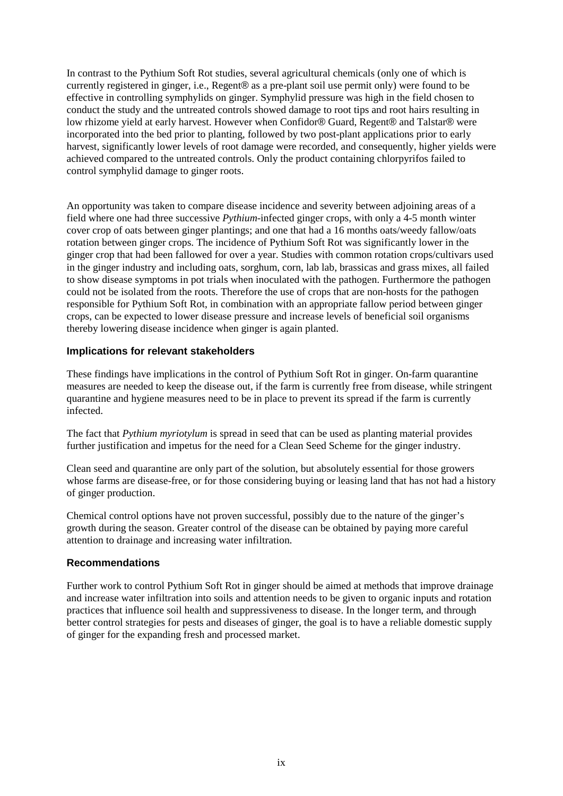In contrast to the Pythium Soft Rot studies, several agricultural chemicals (only one of which is currently registered in ginger, i.e., Regent® as a pre-plant soil use permit only) were found to be effective in controlling symphylids on ginger. Symphylid pressure was high in the field chosen to conduct the study and the untreated controls showed damage to root tips and root hairs resulting in low rhizome yield at early harvest. However when Confidor® Guard, Regent® and Talstar® were incorporated into the bed prior to planting, followed by two post-plant applications prior to early harvest, significantly lower levels of root damage were recorded, and consequently, higher yields were achieved compared to the untreated controls. Only the product containing chlorpyrifos failed to control symphylid damage to ginger roots.

An opportunity was taken to compare disease incidence and severity between adjoining areas of a field where one had three successive *Pythium*-infected ginger crops, with only a 4-5 month winter cover crop of oats between ginger plantings; and one that had a 16 months oats/weedy fallow/oats rotation between ginger crops. The incidence of Pythium Soft Rot was significantly lower in the ginger crop that had been fallowed for over a year. Studies with common rotation crops/cultivars used in the ginger industry and including oats, sorghum, corn, lab lab, brassicas and grass mixes, all failed to show disease symptoms in pot trials when inoculated with the pathogen. Furthermore the pathogen could not be isolated from the roots. Therefore the use of crops that are non-hosts for the pathogen responsible for Pythium Soft Rot, in combination with an appropriate fallow period between ginger crops, can be expected to lower disease pressure and increase levels of beneficial soil organisms thereby lowering disease incidence when ginger is again planted.

#### **Implications for relevant stakeholders**

These findings have implications in the control of Pythium Soft Rot in ginger. On-farm quarantine measures are needed to keep the disease out, if the farm is currently free from disease, while stringent quarantine and hygiene measures need to be in place to prevent its spread if the farm is currently infected.

The fact that *Pythium myriotylum* is spread in seed that can be used as planting material provides further justification and impetus for the need for a Clean Seed Scheme for the ginger industry.

Clean seed and quarantine are only part of the solution, but absolutely essential for those growers whose farms are disease-free, or for those considering buying or leasing land that has not had a history of ginger production.

Chemical control options have not proven successful, possibly due to the nature of the ginger's growth during the season. Greater control of the disease can be obtained by paying more careful attention to drainage and increasing water infiltration.

#### **Recommendations**

Further work to control Pythium Soft Rot in ginger should be aimed at methods that improve drainage and increase water infiltration into soils and attention needs to be given to organic inputs and rotation practices that influence soil health and suppressiveness to disease. In the longer term, and through better control strategies for pests and diseases of ginger, the goal is to have a reliable domestic supply of ginger for the expanding fresh and processed market.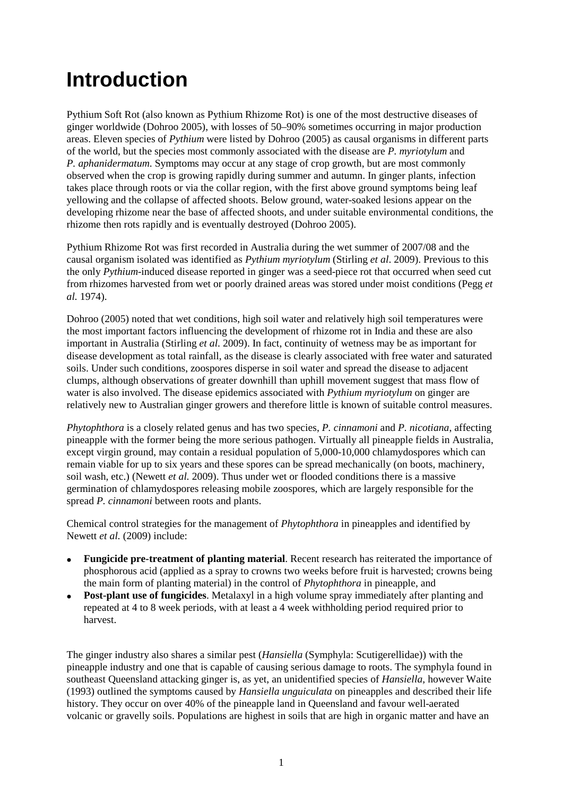# **Introduction**

Pythium Soft Rot (also known as Pythium Rhizome Rot) is one of the most destructive diseases of ginger worldwide (Dohroo 2005), with losses of 50–90% sometimes occurring in major production areas. Eleven species of *Pythium* were listed by Dohroo (2005) as causal organisms in different parts of the world, but the species most commonly associated with the disease are *P. myriotylum* and *P. aphanidermatum*. Symptoms may occur at any stage of crop growth, but are most commonly observed when the crop is growing rapidly during summer and autumn. In ginger plants, infection takes place through roots or via the collar region, with the first above ground symptoms being leaf yellowing and the collapse of affected shoots. Below ground, water-soaked lesions appear on the developing rhizome near the base of affected shoots, and under suitable environmental conditions, the rhizome then rots rapidly and is eventually destroyed (Dohroo 2005).

Pythium Rhizome Rot was first recorded in Australia during the wet summer of 2007/08 and the causal organism isolated was identified as *Pythium myriotylum* (Stirling *et al*. 2009). Previous to this the only *Pythium*-induced disease reported in ginger was a seed-piece rot that occurred when seed cut from rhizomes harvested from wet or poorly drained areas was stored under moist conditions (Pegg *et al.* 1974).

Dohroo (2005) noted that wet conditions, high soil water and relatively high soil temperatures were the most important factors influencing the development of rhizome rot in India and these are also important in Australia (Stirling *et al*. 2009). In fact, continuity of wetness may be as important for disease development as total rainfall, as the disease is clearly associated with free water and saturated soils. Under such conditions, zoospores disperse in soil water and spread the disease to adjacent clumps, although observations of greater downhill than uphill movement suggest that mass flow of water is also involved. The disease epidemics associated with *Pythium myriotylum* on ginger are relatively new to Australian ginger growers and therefore little is known of suitable control measures.

*Phytophthora* is a closely related genus and has two species, *P. cinnamoni* and *P. nicotiana*, affecting pineapple with the former being the more serious pathogen. Virtually all pineapple fields in Australia, except virgin ground, may contain a residual population of 5,000-10,000 chlamydospores which can remain viable for up to six years and these spores can be spread mechanically (on boots, machinery, soil wash, etc.) (Newett *et al.* 2009). Thus under wet or flooded conditions there is a massive germination of chlamydospores releasing mobile zoospores, which are largely responsible for the spread *P. cinnamoni* between roots and plants.

Chemical control strategies for the management of *Phytophthora* in pineapples and identified by Newett *et al.* (2009) include:

- **Fungicide pre-treatment of planting material**. Recent research has reiterated the importance of phosphorous acid (applied as a spray to crowns two weeks before fruit is harvested; crowns being the main form of planting material) in the control of *Phytophthora* in pineapple, and
- **Post-plant use of fungicides**. Metalaxyl in a high volume spray immediately after planting and repeated at 4 to 8 week periods, with at least a 4 week withholding period required prior to harvest.

The ginger industry also shares a similar pest (*Hansiella* (Symphyla: Scutigerellidae)) with the pineapple industry and one that is capable of causing serious damage to roots. The symphyla found in southeast Queensland attacking ginger is, as yet, an unidentified species of *Hansiella,* however Waite (1993) outlined the symptoms caused by *Hansiella unguiculata* on pineapples and described their life history. They occur on over 40% of the pineapple land in Queensland and favour well-aerated volcanic or gravelly soils. Populations are highest in soils that are high in organic matter and have an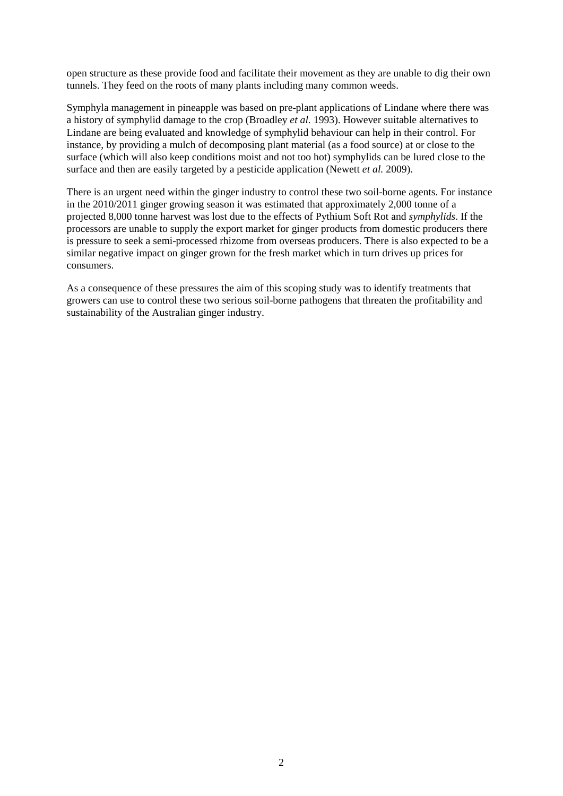open structure as these provide food and facilitate their movement as they are unable to dig their own tunnels. They feed on the roots of many plants including many common weeds.

Symphyla management in pineapple was based on pre-plant applications of Lindane where there was a history of symphylid damage to the crop (Broadley *et al.* 1993). However suitable alternatives to Lindane are being evaluated and knowledge of symphylid behaviour can help in their control. For instance, by providing a mulch of decomposing plant material (as a food source) at or close to the surface (which will also keep conditions moist and not too hot) symphylids can be lured close to the surface and then are easily targeted by a pesticide application (Newett *et al.* 2009).

There is an urgent need within the ginger industry to control these two soil-borne agents. For instance in the 2010/2011 ginger growing season it was estimated that approximately 2,000 tonne of a projected 8,000 tonne harvest was lost due to the effects of Pythium Soft Rot and *symphylids*. If the processors are unable to supply the export market for ginger products from domestic producers there is pressure to seek a semi-processed rhizome from overseas producers. There is also expected to be a similar negative impact on ginger grown for the fresh market which in turn drives up prices for consumers.

As a consequence of these pressures the aim of this scoping study was to identify treatments that growers can use to control these two serious soil-borne pathogens that threaten the profitability and sustainability of the Australian ginger industry.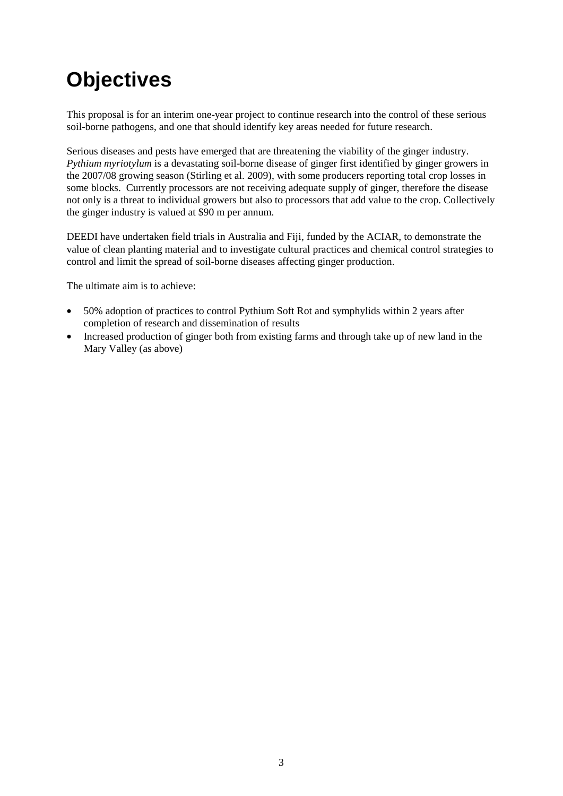# **Objectives**

This proposal is for an interim one-year project to continue research into the control of these serious soil-borne pathogens, and one that should identify key areas needed for future research.

Serious diseases and pests have emerged that are threatening the viability of the ginger industry. *Pythium myriotylum* is a devastating soil-borne disease of ginger first identified by ginger growers in the 2007/08 growing season (Stirling et al. 2009), with some producers reporting total crop losses in some blocks. Currently processors are not receiving adequate supply of ginger, therefore the disease not only is a threat to individual growers but also to processors that add value to the crop. Collectively the ginger industry is valued at \$90 m per annum.

DEEDI have undertaken field trials in Australia and Fiji, funded by the ACIAR, to demonstrate the value of clean planting material and to investigate cultural practices and chemical control strategies to control and limit the spread of soil-borne diseases affecting ginger production.

The ultimate aim is to achieve:

- 50% adoption of practices to control Pythium Soft Rot and symphylids within 2 years after completion of research and dissemination of results
- Increased production of ginger both from existing farms and through take up of new land in the Mary Valley (as above)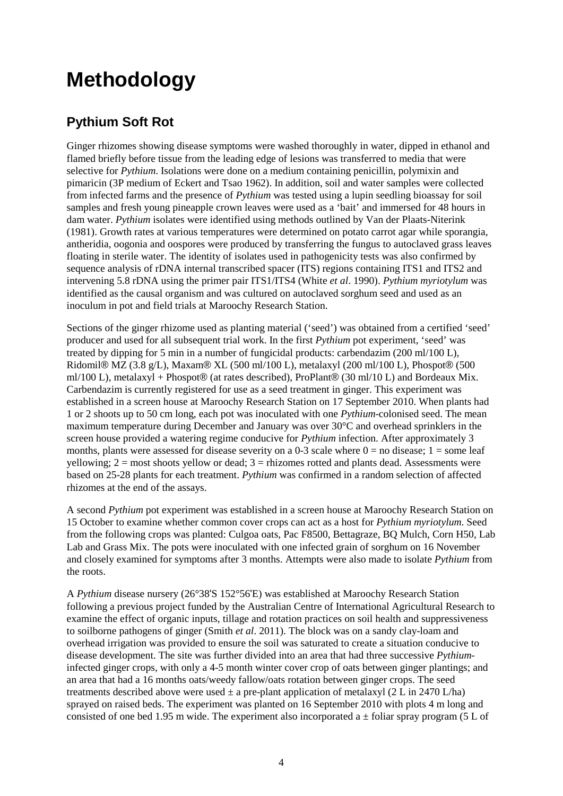# **Methodology**

### **Pythium Soft Rot**

Ginger rhizomes showing disease symptoms were washed thoroughly in water, dipped in ethanol and flamed briefly before tissue from the leading edge of lesions was transferred to media that were selective for *Pythium*. Isolations were done on a medium containing penicillin, polymixin and pimaricin (3P medium of Eckert and Tsao 1962). In addition, soil and water samples were collected from infected farms and the presence of *Pythium* was tested using a lupin seedling bioassay for soil samples and fresh young pineapple crown leaves were used as a 'bait' and immersed for 48 hours in dam water. *Pythium* isolates were identified using methods outlined by Van der Plaats-Niterink (1981). Growth rates at various temperatures were determined on potato carrot agar while sporangia, antheridia, oogonia and oospores were produced by transferring the fungus to autoclaved grass leaves floating in sterile water. The identity of isolates used in pathogenicity tests was also confirmed by sequence analysis of rDNA internal transcribed spacer (ITS) regions containing ITS1 and ITS2 and intervening 5.8 rDNA using the primer pair ITS1/ITS4 (White *et al*. 1990). *Pythium myriotylum* was identified as the causal organism and was cultured on autoclaved sorghum seed and used as an inoculum in pot and field trials at Maroochy Research Station.

Sections of the ginger rhizome used as planting material ('seed') was obtained from a certified 'seed' producer and used for all subsequent trial work. In the first *Pythium* pot experiment, 'seed' was treated by dipping for 5 min in a number of fungicidal products: carbendazim (200 ml/100 L), Ridomil® MZ (3.8 g/L), Maxam® XL (500 ml/100 L), metalaxyl (200 ml/100 L), Phospot® (500 ml/100 L), metalaxyl + Phospot® (at rates described), ProPlant® (30 ml/10 L) and Bordeaux Mix. Carbendazim is currently registered for use as a seed treatment in ginger. This experiment was established in a screen house at Maroochy Research Station on 17 September 2010. When plants had 1 or 2 shoots up to 50 cm long, each pot was inoculated with one *Pythium*-colonised seed. The mean maximum temperature during December and January was over 30°C and overhead sprinklers in the screen house provided a watering regime conducive for *Pythium* infection. After approximately 3 months, plants were assessed for disease severity on a 0-3 scale where  $0 =$  no disease;  $1 =$  some leaf yellowing;  $2 =$  most shoots yellow or dead;  $3 =$  rhizomes rotted and plants dead. Assessments were based on 25-28 plants for each treatment. *Pythium* was confirmed in a random selection of affected rhizomes at the end of the assays.

A second *Pythium* pot experiment was established in a screen house at Maroochy Research Station on 15 October to examine whether common cover crops can act as a host for *Pythium myriotylum*. Seed from the following crops was planted: Culgoa oats, Pac F8500, Bettagraze, BQ Mulch, Corn H50, Lab Lab and Grass Mix. The pots were inoculated with one infected grain of sorghum on 16 November and closely examined for symptoms after 3 months. Attempts were also made to isolate *Pythium* from the roots.

A *Pythium* disease nursery (26°38'S 152°56'E) was established at Maroochy Research Station following a previous project funded by the Australian Centre of International Agricultural Research to examine the effect of organic inputs, tillage and rotation practices on soil health and suppressiveness to soilborne pathogens of ginger (Smith *et al*. 2011). The block was on a sandy clay-loam and overhead irrigation was provided to ensure the soil was saturated to create a situation conducive to disease development. The site was further divided into an area that had three successive *Pythium*infected ginger crops, with only a 4-5 month winter cover crop of oats between ginger plantings; and an area that had a 16 months oats/weedy fallow/oats rotation between ginger crops. The seed treatments described above were used  $\pm$  a pre-plant application of metalaxyl (2 L in 2470 L/ha) sprayed on raised beds. The experiment was planted on 16 September 2010 with plots 4 m long and consisted of one bed 1.95 m wide. The experiment also incorporated a  $\pm$  foliar spray program (5 L of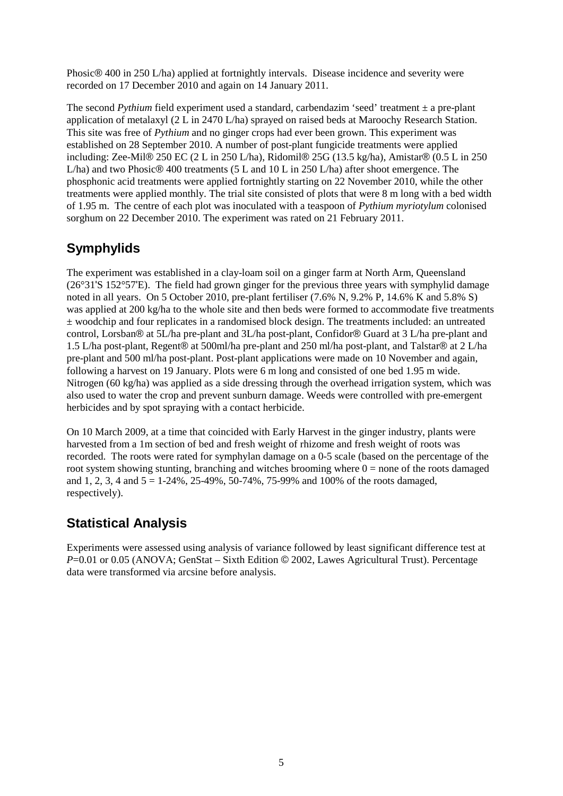Phosic® 400 in 250 L/ha) applied at fortnightly intervals. Disease incidence and severity were recorded on 17 December 2010 and again on 14 January 2011.

The second *Pythium* field experiment used a standard, carbendazim 'seed' treatment  $\pm$  a pre-plant application of metalaxyl (2 L in 2470 L/ha) sprayed on raised beds at Maroochy Research Station. This site was free of *Pythium* and no ginger crops had ever been grown. This experiment was established on 28 September 2010. A number of post-plant fungicide treatments were applied including: Zee-Mil® 250 EC (2 L in 250 L/ha), Ridomil® 25G (13.5 kg/ha), Amistar® (0.5 L in 250 L/ha) and two Phosic® 400 treatments (5 L and 10 L in 250 L/ha) after shoot emergence. The phosphonic acid treatments were applied fortnightly starting on 22 November 2010, while the other treatments were applied monthly. The trial site consisted of plots that were 8 m long with a bed width of 1.95 m. The centre of each plot was inoculated with a teaspoon of *Pythium myriotylum* colonised sorghum on 22 December 2010. The experiment was rated on 21 February 2011.

### **Symphylids**

The experiment was established in a clay-loam soil on a ginger farm at North Arm, Queensland (26°31'S 152°57'E). The field had grown ginger for the previous three years with symphylid damage noted in all years. On 5 October 2010, pre-plant fertiliser (7.6% N, 9.2% P, 14.6% K and 5.8% S) was applied at 200 kg/ha to the whole site and then beds were formed to accommodate five treatments ± woodchip and four replicates in a randomised block design. The treatments included: an untreated control, Lorsban® at 5L/ha pre-plant and 3L/ha post-plant, Confidor® Guard at 3 L/ha pre-plant and 1.5 L/ha post-plant, Regent® at 500ml/ha pre-plant and 250 ml/ha post-plant, and Talstar® at 2 L/ha pre-plant and 500 ml/ha post-plant. Post-plant applications were made on 10 November and again, following a harvest on 19 January. Plots were 6 m long and consisted of one bed 1.95 m wide. Nitrogen (60 kg/ha) was applied as a side dressing through the overhead irrigation system, which was also used to water the crop and prevent sunburn damage. Weeds were controlled with pre-emergent herbicides and by spot spraying with a contact herbicide.

On 10 March 2009, at a time that coincided with Early Harvest in the ginger industry, plants were harvested from a 1m section of bed and fresh weight of rhizome and fresh weight of roots was recorded. The roots were rated for symphylan damage on a 0-5 scale (based on the percentage of the root system showing stunting, branching and witches brooming where  $0 =$  none of the roots damaged and 1, 2, 3, 4 and  $5 = 1-24\%$ , 25-49%, 50-74%, 75-99% and 100% of the roots damaged, respectively).

### **Statistical Analysis**

Experiments were assessed using analysis of variance followed by least significant difference test at *P*=0.01 or 0.05 (ANOVA; GenStat – Sixth Edition © 2002, Lawes Agricultural Trust). Percentage data were transformed via arcsine before analysis.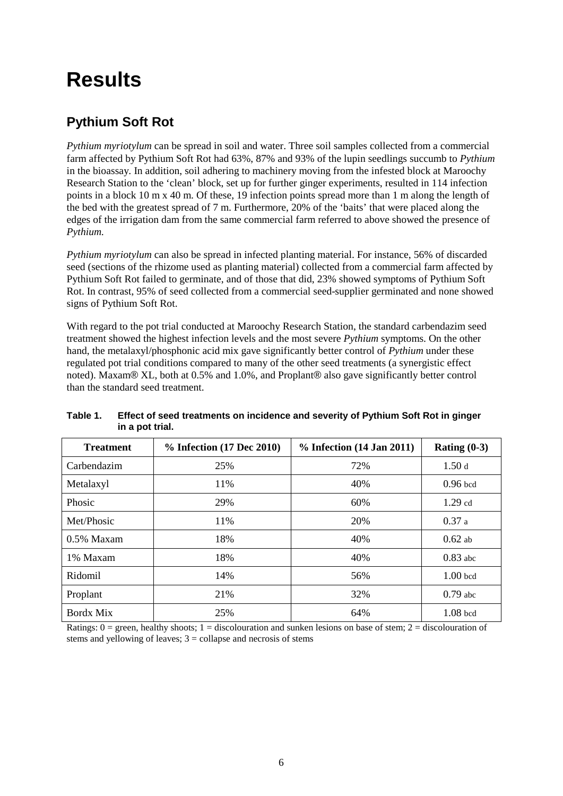## **Results**

### **Pythium Soft Rot**

*Pythium myriotylum* can be spread in soil and water. Three soil samples collected from a commercial farm affected by Pythium Soft Rot had 63%, 87% and 93% of the lupin seedlings succumb to *Pythium*  in the bioassay*.* In addition, soil adhering to machinery moving from the infested block at Maroochy Research Station to the 'clean' block, set up for further ginger experiments, resulted in 114 infection points in a block 10 m x 40 m. Of these, 19 infection points spread more than 1 m along the length of the bed with the greatest spread of 7 m. Furthermore, 20% of the 'baits' that were placed along the edges of the irrigation dam from the same commercial farm referred to above showed the presence of *Pythium.* 

*Pythium myriotylum* can also be spread in infected planting material. For instance, 56% of discarded seed (sections of the rhizome used as planting material) collected from a commercial farm affected by Pythium Soft Rot failed to germinate, and of those that did, 23% showed symptoms of Pythium Soft Rot. In contrast, 95% of seed collected from a commercial seed-supplier germinated and none showed signs of Pythium Soft Rot.

With regard to the pot trial conducted at Maroochy Research Station, the standard carbendazim seed treatment showed the highest infection levels and the most severe *Pythium* symptoms. On the other hand, the metalaxyl/phosphonic acid mix gave significantly better control of *Pythium* under these regulated pot trial conditions compared to many of the other seed treatments (a synergistic effect noted). Maxam® XL, both at 0.5% and 1.0%, and Proplant® also gave significantly better control than the standard seed treatment.

| <b>Treatment</b> | % Infection (17 Dec 2010) | $%$ Infection (14 Jan 2011) | Rating $(0-3)$ |
|------------------|---------------------------|-----------------------------|----------------|
| Carbendazim      | 25%                       | 72%                         | 1.50d          |
| Metalaxyl        | 11%                       | 40%                         | $0.96$ bcd     |
| Phosic           | 29%                       | 60%                         | $1.29$ cd      |
| Met/Phosic       | 11%                       | 20%                         | 0.37a          |
| $0.5\%$ Maxam    | 18%                       | 40%                         | $0.62$ ab      |
| 1% Maxam         | 18%                       | 40%                         | $0.83$ abc     |
| Ridomil          | 14%                       | 56%                         | $1.00$ bcd     |
| Proplant         | 21\%                      | 32%                         | $0.79$ abc     |
| Bordx Mix        | 25%                       | 64%                         | $1.08$ bcd     |

<span id="page-17-0"></span>**Table 1. Effect of seed treatments on incidence and severity of Pythium Soft Rot in ginger in a pot trial.**

Ratings:  $0 =$  green, healthy shoots;  $1 =$  discolouration and sunken lesions on base of stem;  $2 =$  discolouration of stems and yellowing of leaves;  $3 =$  collapse and necrosis of stems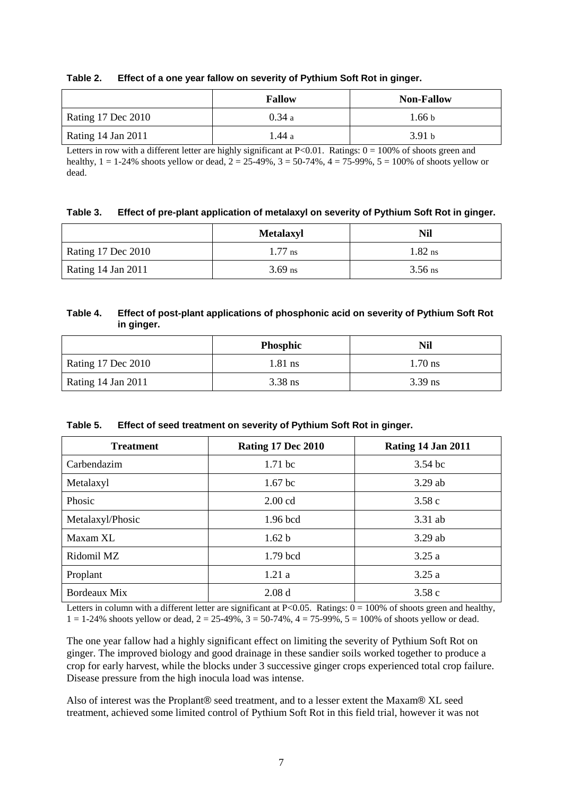<span id="page-18-0"></span>

| Table 2. |  | Effect of a one year fallow on severity of Pythium Soft Rot in ginger. |
|----------|--|------------------------------------------------------------------------|
|----------|--|------------------------------------------------------------------------|

|                           | <b>Fallow</b> | <b>Non-Fallow</b> |
|---------------------------|---------------|-------------------|
| <b>Rating 17 Dec 2010</b> | 0.34a         | 1.66 <sub>b</sub> |
| Rating 14 Jan 2011        | .44 a         | 3.91h             |

Letters in row with a different letter are highly significant at  $P<0.01$ . Ratings:  $0 = 100\%$  of shoots green and healthy,  $1 = 1-24\%$  shoots yellow or dead,  $2 = 25-49\%, 3 = 50-74\%, 4 = 75-99\%, 5 = 100\%$  of shoots yellow or dead.

<span id="page-18-1"></span>

|  |  | Table 3. Effect of pre-plant application of metalaxyl on severity of Pythium Soft Rot in ginger. |
|--|--|--------------------------------------------------------------------------------------------------|
|--|--|--------------------------------------------------------------------------------------------------|

|                           | <b>Metalaxyl</b> | Nil       |
|---------------------------|------------------|-----------|
| Rating 17 Dec 2010        | $1.77$ ns        | $1.82$ ns |
| <b>Rating 14 Jan 2011</b> | $3.69$ ns        | $3.56$ ns |

#### <span id="page-18-2"></span>**Table 4. Effect of post-plant applications of phosphonic acid on severity of Pythium Soft Rot in ginger.**

|                           | Phosphic  | Nil       |
|---------------------------|-----------|-----------|
| <b>Rating 17 Dec 2010</b> | $1.81$ ns | $1.70$ ns |
| Rating 14 Jan 2011        | $3.38$ ns | $3.39$ ns |

<span id="page-18-3"></span>

| Table 5. | Effect of seed treatment on severity of Pythium Soft Rot in ginger. |
|----------|---------------------------------------------------------------------|
|----------|---------------------------------------------------------------------|

| <b>Treatment</b> | <b>Rating 17 Dec 2010</b> | <b>Rating 14 Jan 2011</b> |
|------------------|---------------------------|---------------------------|
| Carbendazim      | $1.71$ bc                 | $3.54$ bc                 |
| Metalaxyl        | $1.67$ bc                 | $3.29$ ab                 |
| Phosic           | $2.00$ cd                 | 3.58c                     |
| Metalaxyl/Phosic | 1.96 bcd                  | 3.31 ab                   |
| Maxam XL         | 1.62 b                    | $3.29$ ab                 |
| Ridomil MZ       | 1.79 bcd                  | 3.25a                     |
| Proplant         | 1.21a                     | 3.25a                     |
| Bordeaux Mix     | 2.08d                     | 3.58c                     |

Letters in column with a different letter are significant at  $P<0.05$ . Ratings:  $0 = 100\%$  of shoots green and healthy,  $1 = 1-24\%$  shoots yellow or dead,  $2 = 25-49\%, 3 = 50-74\%, 4 = 75-99\%, 5 = 100\%$  of shoots yellow or dead.

The one year fallow had a highly significant effect on limiting the severity of Pythium Soft Rot on ginger. The improved biology and good drainage in these sandier soils worked together to produce a crop for early harvest, while the blocks under 3 successive ginger crops experienced total crop failure. Disease pressure from the high inocula load was intense.

Also of interest was the Proplant® seed treatment, and to a lesser extent the Maxam® XL seed treatment, achieved some limited control of Pythium Soft Rot in this field trial, however it was not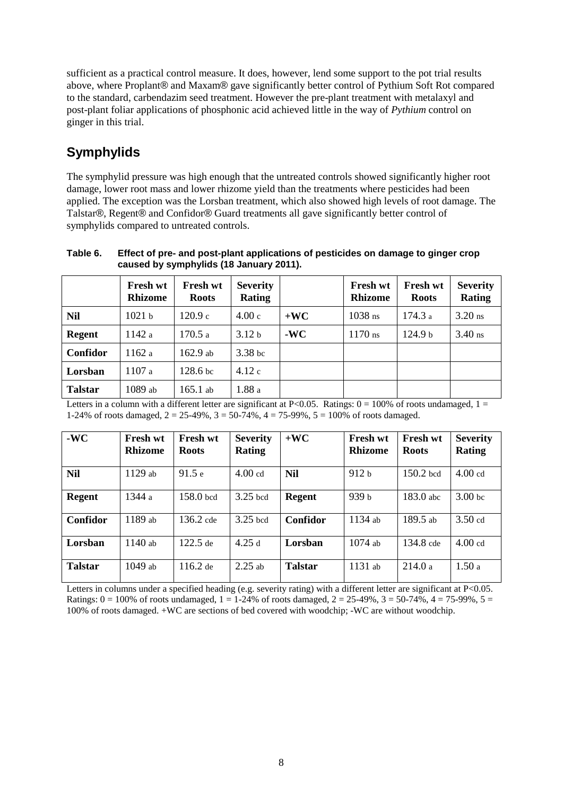sufficient as a practical control measure. It does, however, lend some support to the pot trial results above, where Proplant® and Maxam® gave significantly better control of Pythium Soft Rot compared to the standard, carbendazim seed treatment. However the pre-plant treatment with metalaxyl and post-plant foliar applications of phosphonic acid achieved little in the way of *Pythium* control on ginger in this trial.

### **Symphylids**

The symphylid pressure was high enough that the untreated controls showed significantly higher root damage, lower root mass and lower rhizome yield than the treatments where pesticides had been applied. The exception was the Lorsban treatment, which also showed high levels of root damage. The Talstar®, Regent® and Confidor® Guard treatments all gave significantly better control of symphylids compared to untreated controls.

<span id="page-19-0"></span>**Table 6. Effect of pre- and post-plant applications of pesticides on damage to ginger crop caused by symphylids (18 January 2011).**

|                | Fresh wt<br><b>Rhizome</b> | Fresh wt<br><b>Roots</b> | <b>Severity</b><br>Rating |       | <b>Fresh wt</b><br><b>Rhizome</b> | Fresh wt<br><b>Roots</b> | <b>Severity</b><br>Rating |
|----------------|----------------------------|--------------------------|---------------------------|-------|-----------------------------------|--------------------------|---------------------------|
| Nil            | 1021 <sub>b</sub>          | 120.9c                   | 4.00c                     | $+WC$ | $1038$ ns                         | 174.3 a                  | $3.20$ ns                 |
| <b>Regent</b>  | 1142 a                     | 170.5 a                  | 3.12 <sub>b</sub>         | $-WC$ | $1170$ ns                         | 124.9 <sub>b</sub>       | $3.40$ ns                 |
| Confidor       | 1162a                      | $162.9$ ab               | 3.38 <sub>bc</sub>        |       |                                   |                          |                           |
| Lorsban        | 1107a                      | 128.6 <sub>bc</sub>      | 4.12c                     |       |                                   |                          |                           |
| <b>Talstar</b> | 1089 ab                    | $165.1$ ab               | 1.88 a                    |       |                                   |                          |                           |

Letters in a column with a different letter are significant at P<0.05. Ratings:  $0 = 100\%$  of roots undamaged,  $1 =$ 1-24% of roots damaged, 2 = 25-49%, 3 = 50-74%, 4 = 75-99%, 5 = 100% of roots damaged.

| $-WC$          | <b>Fresh wt</b><br><b>Rhizome</b> | <b>Fresh wt</b><br><b>Roots</b> | <b>Severity</b><br><b>Rating</b> | $+WC$          | <b>Fresh wt</b><br><b>Rhizome</b> | <b>Fresh wt</b><br><b>Roots</b> | <b>Severity</b><br><b>Rating</b> |
|----------------|-----------------------------------|---------------------------------|----------------------------------|----------------|-----------------------------------|---------------------------------|----------------------------------|
| <b>Nil</b>     | $1129$ ab                         | 91.5e                           | 4.00 <sub>cd</sub>               | Nil            | 912 <sub>b</sub>                  | $150.2$ bcd                     | $4.00$ cd                        |
| <b>Regent</b>  | 1344 a                            | $158.0$ bcd                     | $3.25$ bcd                       | <b>Regent</b>  | 939 <sub>b</sub>                  | $183.0$ abc                     | 3.00 <sub>bc</sub>               |
| Confidor       | $1189$ ab                         | $136.2$ cde                     | $3.25$ bcd                       | Confidor       | 1134 ab                           | $189.5$ ab                      | $3.50$ cd                        |
| Lorsban        | $1140$ ab                         | $122.5$ de                      | 4.25 $d$                         | Lorsban        | $1074$ ab                         | 134.8 cde                       | $4.00$ cd                        |
| <b>Talstar</b> | $1049$ ab                         | $116.2$ de                      | $2.25$ ab                        | <b>Talstar</b> | $1131$ ab                         | 214.0a                          | 1.50a                            |

Letters in columns under a specified heading (e.g. severity rating) with a different letter are significant at P<0.05. Ratings:  $0 = 100\%$  of roots undamaged,  $1 = 1-24\%$  of roots damaged,  $2 = 25-49\%$ ,  $3 = 50-74\%$ ,  $4 = 75-99\%$ ,  $5 = 100\%$ 100% of roots damaged. +WC are sections of bed covered with woodchip; -WC are without woodchip.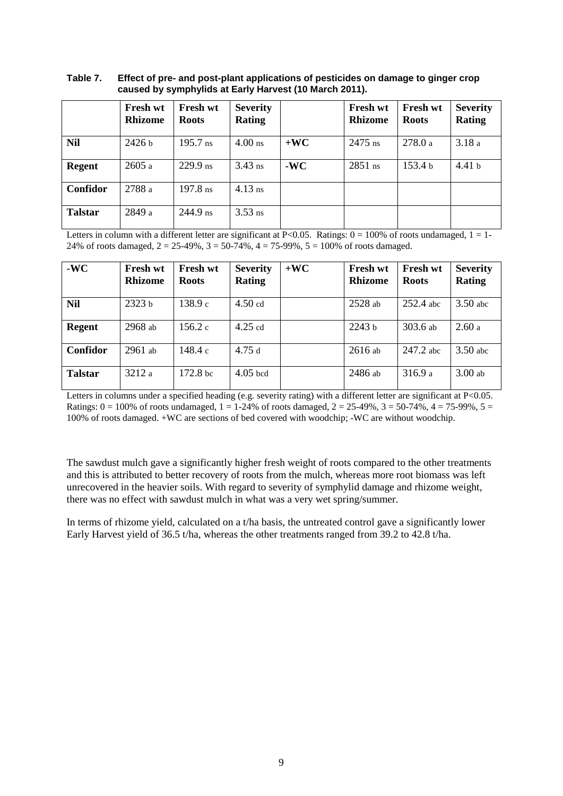#### <span id="page-20-0"></span>**Table 7. Effect of pre- and post-plant applications of pesticides on damage to ginger crop caused by symphylids at Early Harvest (10 March 2011).**

|                | Fresh wt<br><b>Rhizome</b> | <b>Fresh wt</b><br><b>Roots</b> | <b>Severity</b><br><b>Rating</b> |       | <b>Fresh wt</b><br><b>Rhizome</b> | Fresh wt<br><b>Roots</b> | <b>Severity</b><br><b>Rating</b> |
|----------------|----------------------------|---------------------------------|----------------------------------|-------|-----------------------------------|--------------------------|----------------------------------|
| <b>Nil</b>     | 2426 <sub>b</sub>          | $195.7 \text{ ns}$              | $4.00$ ns                        | $+WC$ | $2475$ ns                         | 278.0a                   | 3.18a                            |
| <b>Regent</b>  | 2605a                      | $229.9$ ns                      | $3.43$ ns                        | $-WC$ | $2851$ ns                         | 153.4 <sub>b</sub>       | 4.41 <sub>b</sub>                |
| Confidor       | 2788 a                     | $197.8$ ns                      | $4.13$ ns                        |       |                                   |                          |                                  |
| <b>Talstar</b> | 2849 a                     | $244.9$ ns                      | $3.53$ ns                        |       |                                   |                          |                                  |

Letters in column with a different letter are significant at P<0.05. Ratings:  $0 = 100\%$  of roots undamaged,  $1 = 1$ -24% of roots damaged,  $2 = 25-49$ %,  $3 = 50-74$ %,  $4 = 75-99$ %,  $5 = 100$ % of roots damaged.

| $-WC$          | <b>Fresh wt</b><br><b>Rhizome</b> | <b>Fresh wt</b><br><b>Roots</b> | <b>Severity</b><br><b>Rating</b> | $+WC$ | Fresh wt<br><b>Rhizome</b> | <b>Fresh wt</b><br><b>Roots</b> | <b>Severity</b><br>Rating |
|----------------|-----------------------------------|---------------------------------|----------------------------------|-------|----------------------------|---------------------------------|---------------------------|
| <b>Nil</b>     | 2323 <sub>b</sub>                 | 138.9c                          | $4.50$ cd                        |       | $2528$ ab                  | $252.4$ abc                     | $3.50$ abc                |
| <b>Regent</b>  | $2968$ ab                         | 156.2c                          | $4.25$ cd                        |       | 2243 <sub>b</sub>          | 303.6 ab                        | 2.60a                     |
| Confidor       | $2961$ ab                         | 148.4 c                         | 4.75d                            |       | $2616$ ab                  | 247.2 abc                       | $3.50$ abc                |
| <b>Talstar</b> | 3212 a                            | 172.8 <sub>bc</sub>             | $4.05$ bcd                       |       | 2486 ab                    | 316.9a                          | $3.00$ ab                 |

Letters in columns under a specified heading (e.g. severity rating) with a different letter are significant at P<0.05. Ratings:  $0 = 100\%$  of roots undamaged,  $1 = 1-24\%$  of roots damaged,  $2 = 25-49\%, 3 = 50-74\%, 4 = 75-99\%, 5 = 75-99\%$ 100% of roots damaged. +WC are sections of bed covered with woodchip; -WC are without woodchip.

The sawdust mulch gave a significantly higher fresh weight of roots compared to the other treatments and this is attributed to better recovery of roots from the mulch, whereas more root biomass was left unrecovered in the heavier soils. With regard to severity of symphylid damage and rhizome weight, there was no effect with sawdust mulch in what was a very wet spring/summer.

In terms of rhizome yield, calculated on a t/ha basis, the untreated control gave a significantly lower Early Harvest yield of 36.5 t/ha, whereas the other treatments ranged from 39.2 to 42.8 t/ha.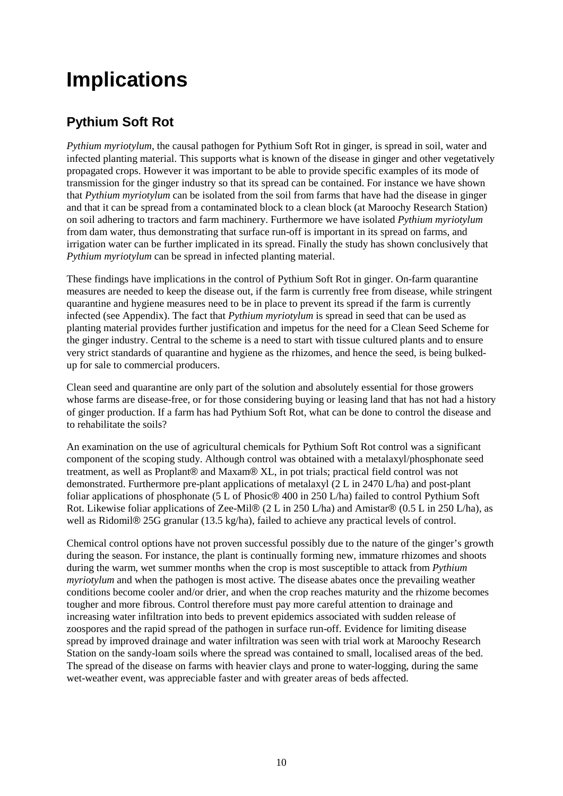# **Implications**

### **Pythium Soft Rot**

*Pythium myriotylum*, the causal pathogen for Pythium Soft Rot in ginger, is spread in soil, water and infected planting material. This supports what is known of the disease in ginger and other vegetatively propagated crops. However it was important to be able to provide specific examples of its mode of transmission for the ginger industry so that its spread can be contained. For instance we have shown that *Pythium myriotylum* can be isolated from the soil from farms that have had the disease in ginger and that it can be spread from a contaminated block to a clean block (at Maroochy Research Station) on soil adhering to tractors and farm machinery. Furthermore we have isolated *Pythium myriotylum* from dam water, thus demonstrating that surface run-off is important in its spread on farms, and irrigation water can be further implicated in its spread. Finally the study has shown conclusively that *Pythium myriotylum* can be spread in infected planting material.

These findings have implications in the control of Pythium Soft Rot in ginger. On-farm quarantine measures are needed to keep the disease out, if the farm is currently free from disease, while stringent quarantine and hygiene measures need to be in place to prevent its spread if the farm is currently infected (see Appendix). The fact that *Pythium myriotylum* is spread in seed that can be used as planting material provides further justification and impetus for the need for a Clean Seed Scheme for the ginger industry. Central to the scheme is a need to start with tissue cultured plants and to ensure very strict standards of quarantine and hygiene as the rhizomes, and hence the seed, is being bulkedup for sale to commercial producers.

Clean seed and quarantine are only part of the solution and absolutely essential for those growers whose farms are disease-free, or for those considering buying or leasing land that has not had a history of ginger production. If a farm has had Pythium Soft Rot, what can be done to control the disease and to rehabilitate the soils?

An examination on the use of agricultural chemicals for Pythium Soft Rot control was a significant component of the scoping study. Although control was obtained with a metalaxyl/phosphonate seed treatment, as well as Proplant® and Maxam® XL, in pot trials; practical field control was not demonstrated. Furthermore pre-plant applications of metalaxyl (2 L in 2470 L/ha) and post-plant foliar applications of phosphonate (5 L of Phosic® 400 in 250 L/ha) failed to control Pythium Soft Rot. Likewise foliar applications of Zee-Mil® (2 L in 250 L/ha) and Amistar® (0.5 L in 250 L/ha), as well as Ridomil<sup>®</sup> 25G granular (13.5 kg/ha), failed to achieve any practical levels of control.

Chemical control options have not proven successful possibly due to the nature of the ginger's growth during the season. For instance, the plant is continually forming new, immature rhizomes and shoots during the warm, wet summer months when the crop is most susceptible to attack from *Pythium myriotylum* and when the pathogen is most active*.* The disease abates once the prevailing weather conditions become cooler and/or drier, and when the crop reaches maturity and the rhizome becomes tougher and more fibrous. Control therefore must pay more careful attention to drainage and increasing water infiltration into beds to prevent epidemics associated with sudden release of zoospores and the rapid spread of the pathogen in surface run-off. Evidence for limiting disease spread by improved drainage and water infiltration was seen with trial work at Maroochy Research Station on the sandy-loam soils where the spread was contained to small, localised areas of the bed. The spread of the disease on farms with heavier clays and prone to water-logging, during the same wet-weather event, was appreciable faster and with greater areas of beds affected.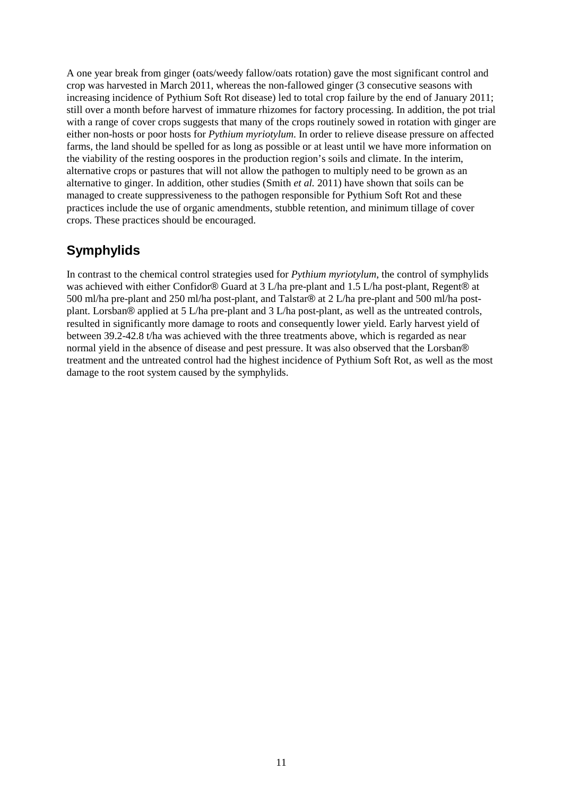A one year break from ginger (oats/weedy fallow/oats rotation) gave the most significant control and crop was harvested in March 2011, whereas the non-fallowed ginger (3 consecutive seasons with increasing incidence of Pythium Soft Rot disease) led to total crop failure by the end of January 2011; still over a month before harvest of immature rhizomes for factory processing. In addition, the pot trial with a range of cover crops suggests that many of the crops routinely sowed in rotation with ginger are either non-hosts or poor hosts for *Pythium myriotylum*. In order to relieve disease pressure on affected farms, the land should be spelled for as long as possible or at least until we have more information on the viability of the resting oospores in the production region's soils and climate. In the interim, alternative crops or pastures that will not allow the pathogen to multiply need to be grown as an alternative to ginger. In addition, other studies (Smith *et al.* 2011) have shown that soils can be managed to create suppressiveness to the pathogen responsible for Pythium Soft Rot and these practices include the use of organic amendments, stubble retention, and minimum tillage of cover crops. These practices should be encouraged.

### **Symphylids**

In contrast to the chemical control strategies used for *Pythium myriotylum*, the control of symphylids was achieved with either Confidor® Guard at 3 L/ha pre-plant and 1.5 L/ha post-plant, Regent® at 500 ml/ha pre-plant and 250 ml/ha post-plant, and Talstar® at 2 L/ha pre-plant and 500 ml/ha postplant. Lorsban® applied at 5 L/ha pre-plant and 3 L/ha post-plant, as well as the untreated controls, resulted in significantly more damage to roots and consequently lower yield. Early harvest yield of between 39.2-42.8 t/ha was achieved with the three treatments above, which is regarded as near normal yield in the absence of disease and pest pressure. It was also observed that the Lorsban® treatment and the untreated control had the highest incidence of Pythium Soft Rot, as well as the most damage to the root system caused by the symphylids.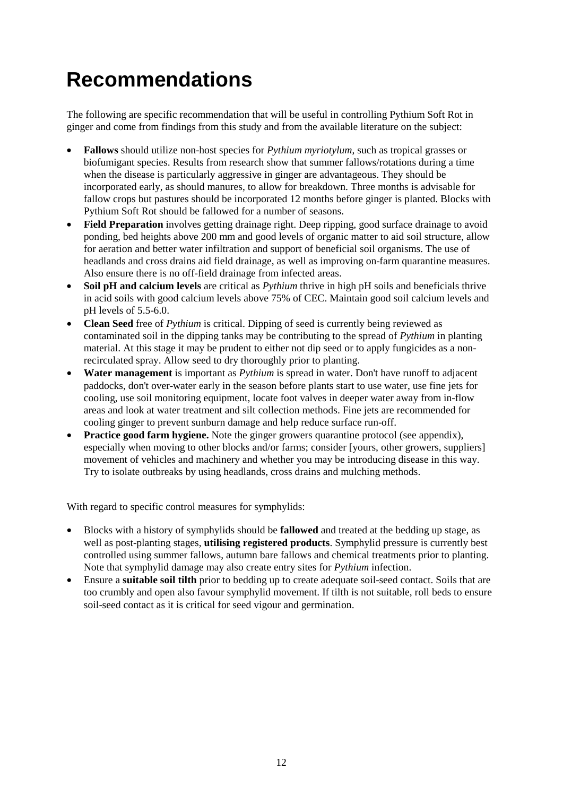# **Recommendations**

The following are specific recommendation that will be useful in controlling Pythium Soft Rot in ginger and come from findings from this study and from the available literature on the subject:

- **Fallows** should utilize non-host species for *Pythium myriotylum*, such as tropical grasses or biofumigant species. Results from research show that summer fallows/rotations during a time when the disease is particularly aggressive in ginger are advantageous. They should be incorporated early, as should manures, to allow for breakdown. Three months is advisable for fallow crops but pastures should be incorporated 12 months before ginger is planted. Blocks with Pythium Soft Rot should be fallowed for a number of seasons.
- **Field Preparation** involves getting drainage right. Deep ripping, good surface drainage to avoid ponding, bed heights above 200 mm and good levels of organic matter to aid soil structure, allow for aeration and better water infiltration and support of beneficial soil organisms. The use of headlands and cross drains aid field drainage, as well as improving on-farm quarantine measures. Also ensure there is no off-field drainage from infected areas.
- **Soil pH and calcium levels** are critical as *Pythium* thrive in high pH soils and beneficials thrive in acid soils with good calcium levels above 75% of CEC. Maintain good soil calcium levels and pH levels of 5.5-6.0.
- **Clean Seed** free of *Pythium* is critical. Dipping of seed is currently being reviewed as contaminated soil in the dipping tanks may be contributing to the spread of *Pythium* in planting material. At this stage it may be prudent to either not dip seed or to apply fungicides as a nonrecirculated spray. Allow seed to dry thoroughly prior to planting.
- **Water management** is important as *Pythium* is spread in water. Don't have runoff to adjacent paddocks, don't over-water early in the season before plants start to use water, use fine jets for cooling, use soil monitoring equipment, locate foot valves in deeper water away from in-flow areas and look at water treatment and silt collection methods. Fine jets are recommended for cooling ginger to prevent sunburn damage and help reduce surface run-off.
- **Practice good farm hygiene.** Note the ginger growers quarantine protocol (see appendix), especially when moving to other blocks and/or farms; consider [yours, other growers, suppliers] movement of vehicles and machinery and whether you may be introducing disease in this way. Try to isolate outbreaks by using headlands, cross drains and mulching methods.

With regard to specific control measures for symphylids:

- Blocks with a history of symphylids should be **fallowed** and treated at the bedding up stage, as well as post-planting stages, **utilising registered products**. Symphylid pressure is currently best controlled using summer fallows, autumn bare fallows and chemical treatments prior to planting. Note that symphylid damage may also create entry sites for *Pythium* infection.
- Ensure a **suitable soil tilth** prior to bedding up to create adequate soil-seed contact. Soils that are too crumbly and open also favour symphylid movement. If tilth is not suitable, roll beds to ensure soil-seed contact as it is critical for seed vigour and germination.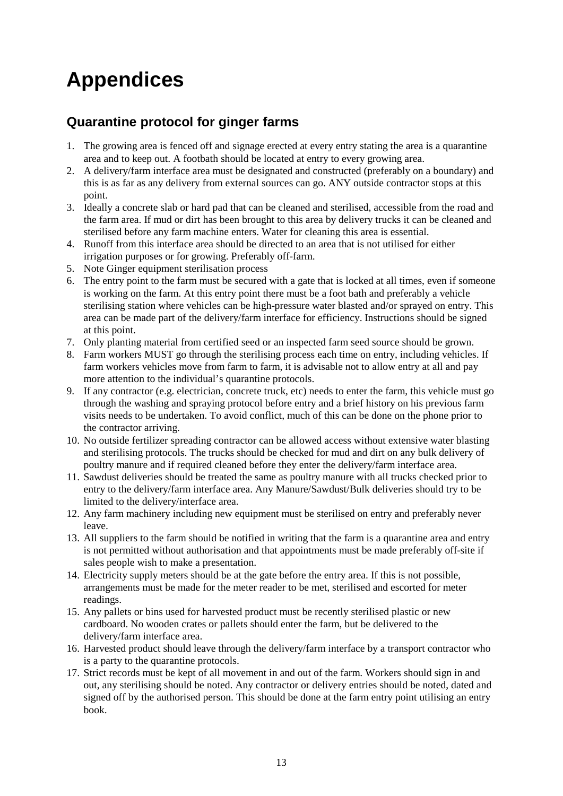# **Appendices**

### **Quarantine protocol for ginger farms**

- 1. The growing area is fenced off and signage erected at every entry stating the area is a quarantine area and to keep out. A footbath should be located at entry to every growing area.
- 2. A delivery/farm interface area must be designated and constructed (preferably on a boundary) and this is as far as any delivery from external sources can go. ANY outside contractor stops at this point.
- 3. Ideally a concrete slab or hard pad that can be cleaned and sterilised, accessible from the road and the farm area. If mud or dirt has been brought to this area by delivery trucks it can be cleaned and sterilised before any farm machine enters. Water for cleaning this area is essential.
- 4. Runoff from this interface area should be directed to an area that is not utilised for either irrigation purposes or for growing. Preferably off-farm.
- 5. Note Ginger equipment sterilisation process
- 6. The entry point to the farm must be secured with a gate that is locked at all times, even if someone is working on the farm. At this entry point there must be a foot bath and preferably a vehicle sterilising station where vehicles can be high-pressure water blasted and/or sprayed on entry. This area can be made part of the delivery/farm interface for efficiency. Instructions should be signed at this point.
- 7. Only planting material from certified seed or an inspected farm seed source should be grown.
- 8. Farm workers MUST go through the sterilising process each time on entry, including vehicles. If farm workers vehicles move from farm to farm, it is advisable not to allow entry at all and pay more attention to the individual's quarantine protocols.
- 9. If any contractor (e.g. electrician, concrete truck, etc) needs to enter the farm, this vehicle must go through the washing and spraying protocol before entry and a brief history on his previous farm visits needs to be undertaken. To avoid conflict, much of this can be done on the phone prior to the contractor arriving.
- 10. No outside fertilizer spreading contractor can be allowed access without extensive water blasting and sterilising protocols. The trucks should be checked for mud and dirt on any bulk delivery of poultry manure and if required cleaned before they enter the delivery/farm interface area.
- 11. Sawdust deliveries should be treated the same as poultry manure with all trucks checked prior to entry to the delivery/farm interface area. Any Manure/Sawdust/Bulk deliveries should try to be limited to the delivery/interface area.
- 12. Any farm machinery including new equipment must be sterilised on entry and preferably never leave.
- 13. All suppliers to the farm should be notified in writing that the farm is a quarantine area and entry is not permitted without authorisation and that appointments must be made preferably off-site if sales people wish to make a presentation.
- 14. Electricity supply meters should be at the gate before the entry area. If this is not possible, arrangements must be made for the meter reader to be met, sterilised and escorted for meter readings.
- 15. Any pallets or bins used for harvested product must be recently sterilised plastic or new cardboard. No wooden crates or pallets should enter the farm, but be delivered to the delivery/farm interface area.
- 16. Harvested product should leave through the delivery/farm interface by a transport contractor who is a party to the quarantine protocols.
- 17. Strict records must be kept of all movement in and out of the farm. Workers should sign in and out, any sterilising should be noted. Any contractor or delivery entries should be noted, dated and signed off by the authorised person. This should be done at the farm entry point utilising an entry book.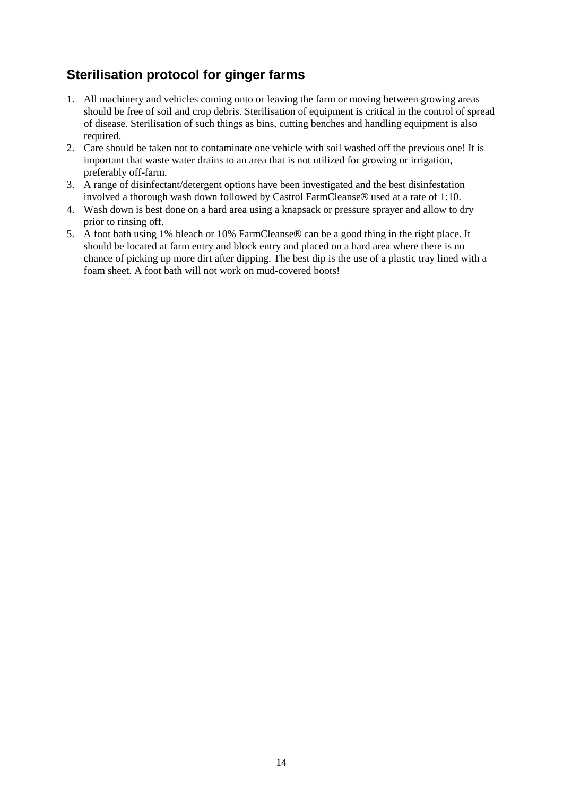### **Sterilisation protocol for ginger farms**

- 1. All machinery and vehicles coming onto or leaving the farm or moving between growing areas should be free of soil and crop debris. Sterilisation of equipment is critical in the control of spread of disease. Sterilisation of such things as bins, cutting benches and handling equipment is also required.
- 2. Care should be taken not to contaminate one vehicle with soil washed off the previous one! It is important that waste water drains to an area that is not utilized for growing or irrigation, preferably off-farm.
- 3. A range of disinfectant/detergent options have been investigated and the best disinfestation involved a thorough wash down followed by Castrol FarmCleanse® used at a rate of 1:10.
- 4. Wash down is best done on a hard area using a knapsack or pressure sprayer and allow to dry prior to rinsing off.
- 5. A foot bath using 1% bleach or 10% FarmCleanse® can be a good thing in the right place. It should be located at farm entry and block entry and placed on a hard area where there is no chance of picking up more dirt after dipping. The best dip is the use of a plastic tray lined with a foam sheet. A foot bath will not work on mud-covered boots!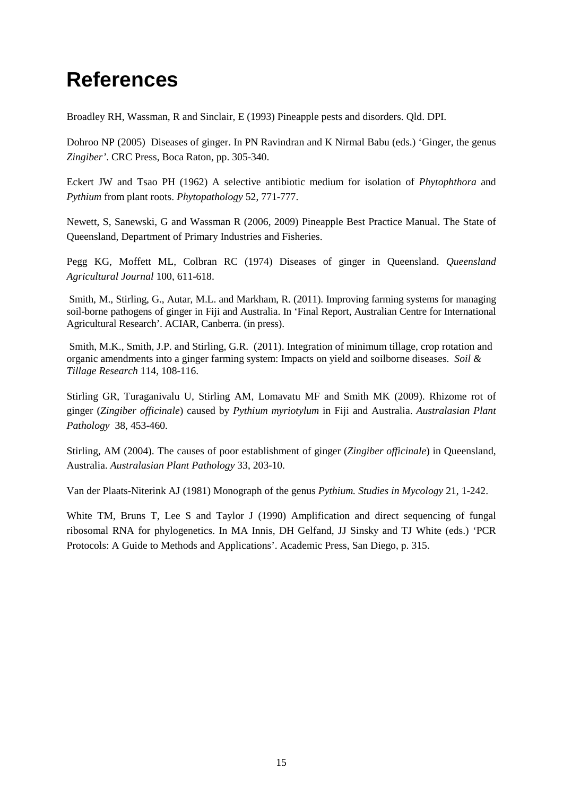## **References**

Broadley RH, Wassman, R and Sinclair, E (1993) Pineapple pests and disorders. Qld. DPI.

Dohroo NP (2005) Diseases of ginger. In PN Ravindran and K Nirmal Babu (eds.) 'Ginger, the genus *Zingiber'*. CRC Press, Boca Raton, pp. 305-340.

Eckert JW and Tsao PH (1962) A selective antibiotic medium for isolation of *Phytophthora* and *Pythium* from plant roots. *Phytopathology* 52, 771-777.

Newett, S, Sanewski, G and Wassman R (2006, 2009) Pineapple Best Practice Manual. The State of Queensland, Department of Primary Industries and Fisheries.

Pegg KG, Moffett ML, Colbran RC (1974) Diseases of ginger in Queensland. *Queensland Agricultural Journal* 100, 611-618.

Smith, M., Stirling, G., Autar, M.L. and Markham, R. (2011). Improving farming systems for managing soil-borne pathogens of ginger in Fiji and Australia. In 'Final Report, Australian Centre for International Agricultural Research'. ACIAR, Canberra. (in press).

 Smith, M.K., Smith, J.P. and Stirling, G.R. (2011). Integration of minimum tillage, crop rotation and organic amendments into a ginger farming system: Impacts on yield and soilborne diseases. *Soil & Tillage Research* 114, 108-116.

Stirling GR, Turaganivalu U, Stirling AM, Lomavatu MF and Smith MK (2009). Rhizome rot of ginger (*Zingiber officinale*) caused by *Pythium myriotylum* in Fiji and Australia. *Australasian Plant Pathology*38, 453-460.

Stirling, AM (2004). The causes of poor establishment of ginger (*Zingiber officinale*) in Queensland, Australia. *Australasian Plant Pathology* 33, 203-10.

Van der Plaats-Niterink AJ (1981) Monograph of the genus *Pythium. Studies in Mycology* 21, 1-242.

White TM, Bruns T, Lee S and Taylor J (1990) Amplification and direct sequencing of fungal ribosomal RNA for phylogenetics. In MA Innis, DH Gelfand, JJ Sinsky and TJ White (eds.) 'PCR Protocols: A Guide to Methods and Applications'. Academic Press, San Diego, p. 315.